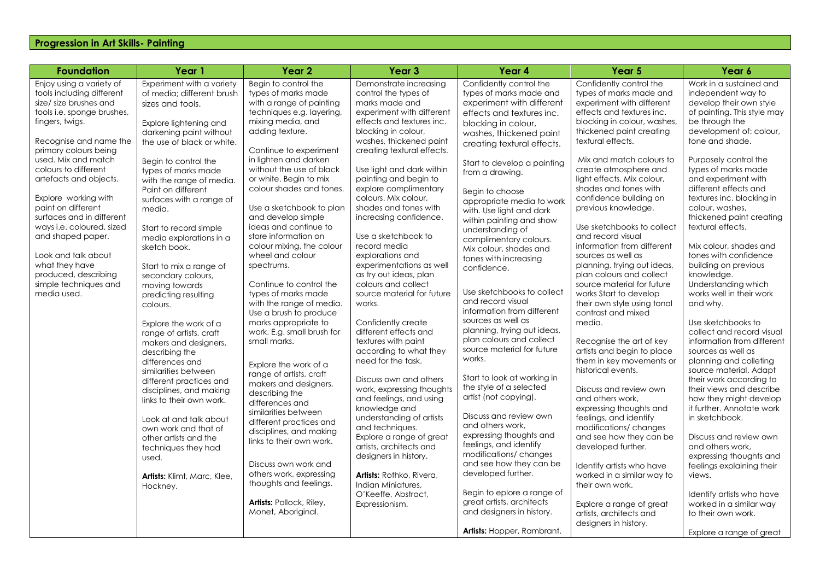## **Progression in Art Skills- Painting**

| <b>Foundation</b>                                                                                                                                                                                                                                                                                                                                                                                                                                                                                  | Year 1                                                                                                                                                                                                                                                                                                                                                                                                                                                                                                                                                                                                                                                                                                                                                                                                                                                             | Year <sub>2</sub>                                                                                                                                                                                                                                                                                                                                                                                                                                                                                                                                                                                                                                                                                                                                                                                                                                                                                                                                                                            | Year <sub>3</sub>                                                                                                                                                                                                                                                                                                                                                                                                                                                                                                                                                                                                                                                                                                                                                                                                                                                                                                                                                                                       | Year 4                                                                                                                                                                                                                                                                                                                                                                                                                                                                                                                                                                                                                                                                                                                                                                                                                                                                                                                                                                                                                                    | Year 5                                                                                                                                                                                                                                                                                                                                                                                                                                                                                                                                                                                                                                                                                                                                                                                                                                                                                                                                                                                                                                                                            | Year 6                                                                                                                                                                                                                                                                                                                                                                                                                                                                                                                                                                                                                                                                                                                                                                                                                                                                                                                                                                                                                    |
|----------------------------------------------------------------------------------------------------------------------------------------------------------------------------------------------------------------------------------------------------------------------------------------------------------------------------------------------------------------------------------------------------------------------------------------------------------------------------------------------------|--------------------------------------------------------------------------------------------------------------------------------------------------------------------------------------------------------------------------------------------------------------------------------------------------------------------------------------------------------------------------------------------------------------------------------------------------------------------------------------------------------------------------------------------------------------------------------------------------------------------------------------------------------------------------------------------------------------------------------------------------------------------------------------------------------------------------------------------------------------------|----------------------------------------------------------------------------------------------------------------------------------------------------------------------------------------------------------------------------------------------------------------------------------------------------------------------------------------------------------------------------------------------------------------------------------------------------------------------------------------------------------------------------------------------------------------------------------------------------------------------------------------------------------------------------------------------------------------------------------------------------------------------------------------------------------------------------------------------------------------------------------------------------------------------------------------------------------------------------------------------|---------------------------------------------------------------------------------------------------------------------------------------------------------------------------------------------------------------------------------------------------------------------------------------------------------------------------------------------------------------------------------------------------------------------------------------------------------------------------------------------------------------------------------------------------------------------------------------------------------------------------------------------------------------------------------------------------------------------------------------------------------------------------------------------------------------------------------------------------------------------------------------------------------------------------------------------------------------------------------------------------------|-------------------------------------------------------------------------------------------------------------------------------------------------------------------------------------------------------------------------------------------------------------------------------------------------------------------------------------------------------------------------------------------------------------------------------------------------------------------------------------------------------------------------------------------------------------------------------------------------------------------------------------------------------------------------------------------------------------------------------------------------------------------------------------------------------------------------------------------------------------------------------------------------------------------------------------------------------------------------------------------------------------------------------------------|-----------------------------------------------------------------------------------------------------------------------------------------------------------------------------------------------------------------------------------------------------------------------------------------------------------------------------------------------------------------------------------------------------------------------------------------------------------------------------------------------------------------------------------------------------------------------------------------------------------------------------------------------------------------------------------------------------------------------------------------------------------------------------------------------------------------------------------------------------------------------------------------------------------------------------------------------------------------------------------------------------------------------------------------------------------------------------------|---------------------------------------------------------------------------------------------------------------------------------------------------------------------------------------------------------------------------------------------------------------------------------------------------------------------------------------------------------------------------------------------------------------------------------------------------------------------------------------------------------------------------------------------------------------------------------------------------------------------------------------------------------------------------------------------------------------------------------------------------------------------------------------------------------------------------------------------------------------------------------------------------------------------------------------------------------------------------------------------------------------------------|
| Enjoy using a variety of<br>tools including different<br>size/ size brushes and<br>tools i.e. sponge brushes,<br>fingers, twigs.<br>Recognise and name the<br>primary colours being<br>used. Mix and match<br>colours to different<br>artefacts and objects.<br>Explore working with<br>paint on different<br>surfaces and in different<br>ways i.e. coloured, sized<br>and shaped paper.<br>Look and talk about<br>what they have<br>produced, describing<br>simple techniques and<br>media used. | Experiment with a variety<br>of media; different brush<br>sizes and tools.<br>Explore lightening and<br>darkening paint without<br>the use of black or white.<br>Begin to control the<br>types of marks made<br>with the range of media.<br>Paint on different<br>surfaces with a range of<br>media.<br>Start to record simple<br>media explorations in a<br>sketch book.<br>Start to mix a range of<br>secondary colours,<br>moving towards<br>predicting resulting<br>colours.<br>Explore the work of a<br>range of artists, craft<br>makers and designers,<br>describing the<br>differences and<br>similarities between<br>different practices and<br>disciplines, and making<br>links to their own work.<br>Look at and talk about<br>own work and that of<br>other artists and the<br>techniques they had<br>used.<br>Artists: Klimt, Marc, Klee,<br>Hockney. | Begin to control the<br>types of marks made<br>with a range of painting<br>techniques e.g. layering,<br>mixing media, and<br>adding texture.<br>Continue to experiment<br>in lighten and darken<br>without the use of black<br>or white. Begin to mix<br>colour shades and tones.<br>Use a sketchbook to plan<br>and develop simple<br>ideas and continue to<br>store information on<br>colour mixing, the colour<br>wheel and colour<br>spectrums.<br>Continue to control the<br>types of marks made<br>with the range of media.<br>Use a brush to produce<br>marks appropriate to<br>work. E.g. small brush for<br>small marks.<br>Explore the work of a<br>range of artists, craft<br>makers and designers,<br>describing the<br>differences and<br>similarities between<br>different practices and<br>disciplines, and making<br>links to their own work.<br>Discuss own work and<br>others work, expressing<br>thoughts and feelings.<br>Artists: Pollock, Riley,<br>Monet, Aboriginal. | Demonstrate increasing<br>control the types of<br>marks made and<br>experiment with different<br>effects and textures inc.<br>blocking in colour,<br>washes, thickened paint<br>creating textural effects.<br>Use light and dark within<br>painting and begin to<br>explore complimentary<br>colours. Mix colour,<br>shades and tones with<br>increasing confidence.<br>Use a sketchbook to<br>record media<br>explorations and<br>experimentations as well<br>as try out ideas, plan<br>colours and collect<br>source material for future<br>works.<br>Confidently create<br>different effects and<br>textures with paint<br>according to what they<br>need for the task.<br>Discuss own and others<br>work, expressing thoughts<br>and feelings, and using<br>knowledge and<br>understanding of artists<br>and techniques.<br>Explore a range of great<br>artists, architects and<br>designers in history.<br>Artists: Rothko, Rivera,<br>Indian Miniatures.<br>O'Keeffe, Abstract,<br>Expressionism. | Confidently control the<br>types of marks made and<br>experiment with different<br>effects and textures inc.<br>blocking in colour,<br>washes, thickened paint<br>creating textural effects.<br>Start to develop a painting<br>from a drawing.<br>Begin to choose<br>appropriate media to work<br>with. Use light and dark<br>within painting and show<br>understanding of<br>complimentary colours.<br>Mix colour, shades and<br>tones with increasing<br>confidence.<br>Use sketchbooks to collect<br>and record visual<br>information from different<br>sources as well as<br>planning, trying out ideas,<br>plan colours and collect<br>source material for future<br>works.<br>Start to look at working in<br>the style of a selected<br>artist (not copying).<br>Discuss and review own<br>and others work,<br>expressing thoughts and<br>feelings, and identify<br>modifications/ changes<br>and see how they can be<br>developed further.<br>Begin to eplore a range of<br>great artists, architects<br>and designers in history. | Confidently control the<br>types of marks made and<br>experiment with different<br>effects and textures inc.<br>blocking in colour, washes,<br>thickened paint creating<br>textural effects.<br>Mix and match colours to<br>create atmosphere and<br>light effects. Mix colour,<br>shades and tones with<br>confidence building on<br>previous knowledge.<br>Use sketchbooks to collect<br>and record visual<br>information from different<br>sources as well as<br>planning, trying out ideas,<br>plan colours and collect<br>source material for future<br>works Start to develop<br>their own style using tonal<br>contrast and mixed<br>media.<br>Recognise the art of key<br>artists and begin to place<br>them in key movements or<br>historical events.<br>Discuss and review own<br>and others work,<br>expressing thoughts and<br>feelings, and identify<br>modifications/ changes<br>and see how they can be<br>developed further.<br>Identify artists who have<br>worked in a similar way to<br>their own work.<br>Explore a range of great<br>artists, architects and | Work in a sustained and<br>independent way to<br>develop their own style<br>of painting. This style may<br>be through the<br>development of: colour,<br>tone and shade.<br>Purposely control the<br>types of marks made<br>and experiment with<br>different effects and<br>textures inc. blocking in<br>colour, washes,<br>thickened paint creating<br>textural effects.<br>Mix colour, shades and<br>tones with confidence<br>building on previous<br>knowledge.<br>Understanding which<br>works well in their work<br>and why.<br>Use sketchbooks to<br>collect and record visual<br>information from different<br>sources as well as<br>planning and colleting<br>source material. Adapt<br>their work according to<br>their views and describe<br>how they might develop<br>it further. Annotate work<br>in sketchbook.<br>Discuss and review own<br>and others work.<br>expressing thoughts and<br>feelings explaining their<br>views.<br>Identify artists who have<br>worked in a similar way<br>to their own work. |
|                                                                                                                                                                                                                                                                                                                                                                                                                                                                                                    |                                                                                                                                                                                                                                                                                                                                                                                                                                                                                                                                                                                                                                                                                                                                                                                                                                                                    |                                                                                                                                                                                                                                                                                                                                                                                                                                                                                                                                                                                                                                                                                                                                                                                                                                                                                                                                                                                              |                                                                                                                                                                                                                                                                                                                                                                                                                                                                                                                                                                                                                                                                                                                                                                                                                                                                                                                                                                                                         | Artists: Hopper, Rambrant.                                                                                                                                                                                                                                                                                                                                                                                                                                                                                                                                                                                                                                                                                                                                                                                                                                                                                                                                                                                                                | designers in history.                                                                                                                                                                                                                                                                                                                                                                                                                                                                                                                                                                                                                                                                                                                                                                                                                                                                                                                                                                                                                                                             | Explore a range of great                                                                                                                                                                                                                                                                                                                                                                                                                                                                                                                                                                                                                                                                                                                                                                                                                                                                                                                                                                                                  |